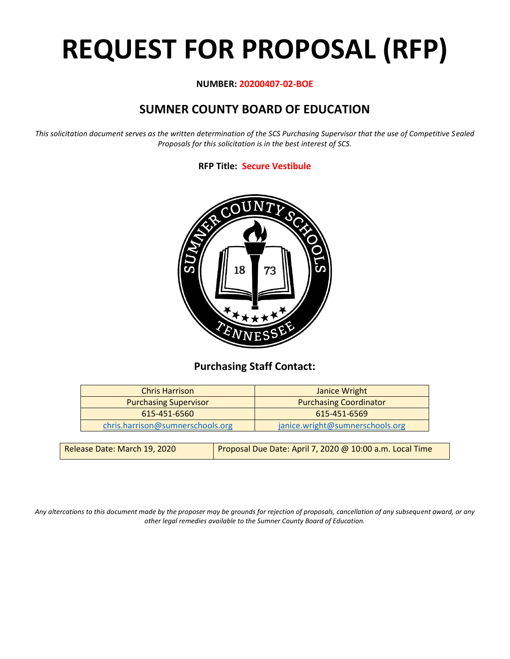# **REQUEST FOR PROPOSAL (RFP)**

#### **NUMBER: 20200407-02-BOE**

# **SUMNER COUNTY BOARD OF EDUCATION**

*This solicitation document serves as the written determination of the SCS Purchasing Supervisor that the use of Competitive Sealed Proposals for this solicitation is in the best interest of SCS.*

#### **RFP Title: Secure Vestibule**



## **Purchasing Staff Contact:**

| <b>Chris Harrison</b>            | Janice Wright                   |
|----------------------------------|---------------------------------|
| <b>Purchasing Supervisor</b>     | <b>Purchasing Coordinator</b>   |
| 615-451-6560                     | 615-451-6569                    |
| chris.harrison@sumnerschools.org | janice.wright@sumnerschools.org |
|                                  |                                 |

| Release Date: March 19, 2020 | Proposal Due Date: April 7, 2020 @ 10:00 a.m. Local Time |
|------------------------------|----------------------------------------------------------|
|------------------------------|----------------------------------------------------------|

*Any altercations to this document made by the proposer may be grounds for rejection of proposals, cancellation of any subsequent award, or any other legal remedies available to the Sumner County Board of Education.*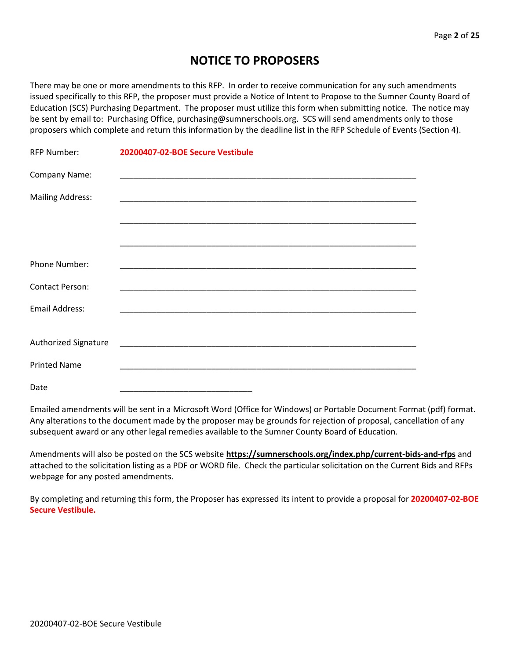## **NOTICE TO PROPOSERS**

There may be one or more amendments to this RFP. In order to receive communication for any such amendments issued specifically to this RFP, the proposer must provide a Notice of Intent to Propose to the Sumner County Board of Education (SCS) Purchasing Department. The proposer must utilize this form when submitting notice. The notice may be sent by email to: Purchasing Office, purchasing@sumnerschools.org. SCS will send amendments only to those proposers which complete and return this information by the deadline list in the RFP Schedule of Events (Section 4).

| <b>RFP Number:</b>      | 20200407-02-BOE Secure Vestibule |
|-------------------------|----------------------------------|
| Company Name:           |                                  |
| <b>Mailing Address:</b> |                                  |
|                         |                                  |
|                         |                                  |
| Phone Number:           |                                  |
| <b>Contact Person:</b>  |                                  |
| Email Address:          |                                  |
|                         |                                  |
| Authorized Signature    |                                  |
| <b>Printed Name</b>     |                                  |
| Date                    |                                  |

Emailed amendments will be sent in a Microsoft Word (Office for Windows) or Portable Document Format (pdf) format. Any alterations to the document made by the proposer may be grounds for rejection of proposal, cancellation of any subsequent award or any other legal remedies available to the Sumner County Board of Education.

Amendments will also be posted on the SCS website **https://sumnerschools.org/index.php/current-bids-and-rfps** and attached to the solicitation listing as a PDF or WORD file. Check the particular solicitation on the Current Bids and RFPs webpage for any posted amendments.

By completing and returning this form, the Proposer has expressed its intent to provide a proposal for **20200407-02-BOE Secure Vestibule.**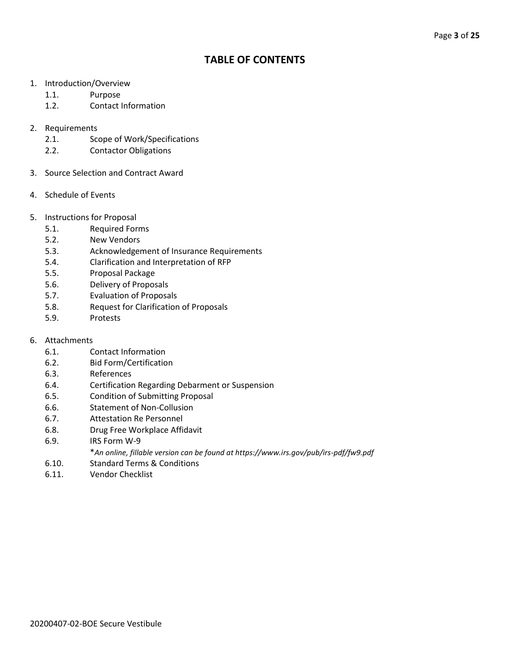## **TABLE OF CONTENTS**

- 1. Introduction/Overview
	- 1.1. Purpose
	- 1.2. Contact Information
- 2. Requirements
	- 2.1. Scope of Work/Specifications
	- 2.2. Contactor Obligations
- 3. Source Selection and Contract Award
- 4. Schedule of Events
- 5. Instructions for Proposal
	- 5.1. Required Forms
	- 5.2. New Vendors
	- 5.3. Acknowledgement of Insurance Requirements
	- 5.4. Clarification and Interpretation of RFP
	- 5.5. Proposal Package
	- 5.6. Delivery of Proposals
	- 5.7. Evaluation of Proposals
	- 5.8. Request for Clarification of Proposals
	- 5.9. Protests
- 6. Attachments
	- 6.1. Contact Information
	- 6.2. Bid Form/Certification
	- 6.3. References
	- 6.4. Certification Regarding Debarment or Suspension
	- 6.5. Condition of Submitting Proposal
	- 6.6. Statement of Non-Collusion
	- 6.7. Attestation Re Personnel
	- 6.8. Drug Free Workplace Affidavit
	- 6.9. IRS Form W-9
		- \**An online, fillable version can be found at https://www.irs.gov/pub/irs-pdf/fw9.pdf*
	- 6.10. Standard Terms & Conditions
	- 6.11. Vendor Checklist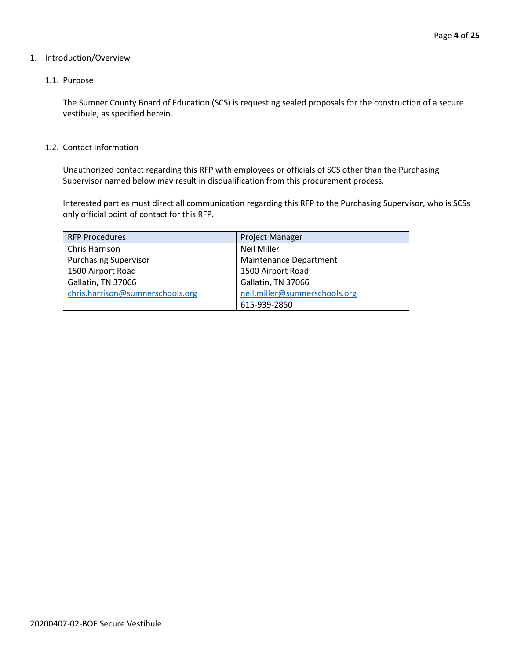#### 1. Introduction/Overview

#### 1.1. Purpose

The Sumner County Board of Education (SCS) is requesting sealed proposals for the construction of a secure vestibule, as specified herein.

#### 1.2. Contact Information

Unauthorized contact regarding this RFP with employees or officials of SCS other than the Purchasing Supervisor named below may result in disqualification from this procurement process.

Interested parties must direct all communication regarding this RFP to the Purchasing Supervisor, who is SCSs only official point of contact for this RFP.

| <b>RFP Procedures</b>            | <b>Project Manager</b>        |
|----------------------------------|-------------------------------|
| Chris Harrison                   | <b>Neil Miller</b>            |
| <b>Purchasing Supervisor</b>     | Maintenance Department        |
| 1500 Airport Road                | 1500 Airport Road             |
| Gallatin, TN 37066               | Gallatin, TN 37066            |
| chris.harrison@sumnerschools.org | neil.miller@sumnerschools.org |
|                                  | 615-939-2850                  |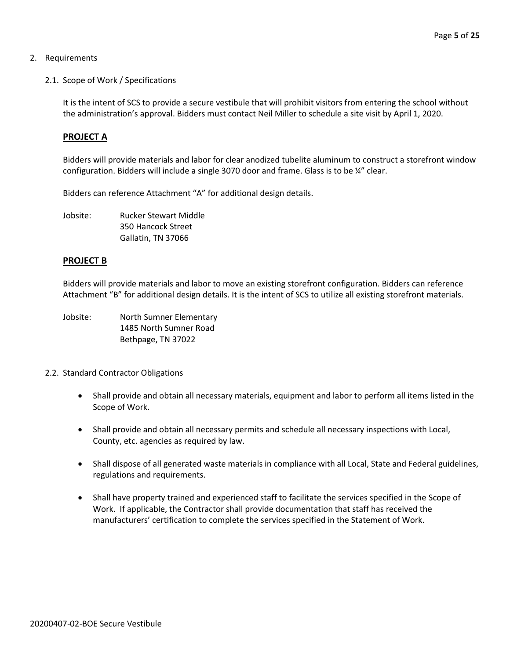#### 2. Requirements

2.1. Scope of Work / Specifications

It is the intent of SCS to provide a secure vestibule that will prohibit visitors from entering the school without the administration's approval. Bidders must contact Neil Miller to schedule a site visit by April 1, 2020.

#### **PROJECT A**

Bidders will provide materials and labor for clear anodized tubelite aluminum to construct a storefront window configuration. Bidders will include a single 3070 door and frame. Glass is to be ¼" clear.

Bidders can reference Attachment "A" for additional design details.

Jobsite: Rucker Stewart Middle 350 Hancock Street Gallatin, TN 37066

#### **PROJECT B**

Bidders will provide materials and labor to move an existing storefront configuration. Bidders can reference Attachment "B" for additional design details. It is the intent of SCS to utilize all existing storefront materials.

- Jobsite: North Sumner Elementary 1485 North Sumner Road Bethpage, TN 37022
- 2.2. Standard Contractor Obligations
	- Shall provide and obtain all necessary materials, equipment and labor to perform all items listed in the Scope of Work.
	- Shall provide and obtain all necessary permits and schedule all necessary inspections with Local, County, etc. agencies as required by law.
	- Shall dispose of all generated waste materials in compliance with all Local, State and Federal guidelines, regulations and requirements.
	- Shall have property trained and experienced staff to facilitate the services specified in the Scope of Work. If applicable, the Contractor shall provide documentation that staff has received the manufacturers' certification to complete the services specified in the Statement of Work.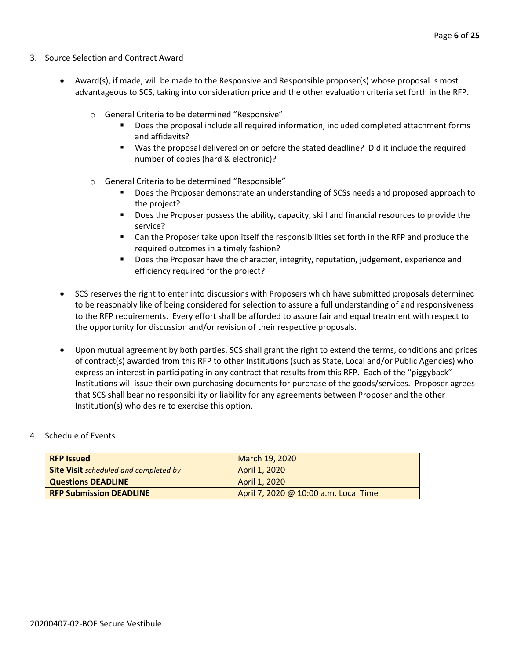- 3. Source Selection and Contract Award
	- Award(s), if made, will be made to the Responsive and Responsible proposer(s) whose proposal is most advantageous to SCS, taking into consideration price and the other evaluation criteria set forth in the RFP.
		- o General Criteria to be determined "Responsive"
			- Does the proposal include all required information, included completed attachment forms and affidavits?
			- Was the proposal delivered on or before the stated deadline? Did it include the required number of copies (hard & electronic)?
		- o General Criteria to be determined "Responsible"
			- Does the Proposer demonstrate an understanding of SCSs needs and proposed approach to the project?
			- Does the Proposer possess the ability, capacity, skill and financial resources to provide the service?
			- Can the Proposer take upon itself the responsibilities set forth in the RFP and produce the required outcomes in a timely fashion?
			- **■** Does the Proposer have the character, integrity, reputation, judgement, experience and efficiency required for the project?
	- SCS reserves the right to enter into discussions with Proposers which have submitted proposals determined to be reasonably like of being considered for selection to assure a full understanding of and responsiveness to the RFP requirements. Every effort shall be afforded to assure fair and equal treatment with respect to the opportunity for discussion and/or revision of their respective proposals.
	- Upon mutual agreement by both parties, SCS shall grant the right to extend the terms, conditions and prices of contract(s) awarded from this RFP to other Institutions (such as State, Local and/or Public Agencies) who express an interest in participating in any contract that results from this RFP. Each of the "piggyback" Institutions will issue their own purchasing documents for purchase of the goods/services. Proposer agrees that SCS shall bear no responsibility or liability for any agreements between Proposer and the other Institution(s) who desire to exercise this option.

#### 4. Schedule of Events

| <b>RFP Issued</b>                            | March 19, 2020                        |
|----------------------------------------------|---------------------------------------|
| <b>Site Visit</b> scheduled and completed by | April 1, 2020                         |
| <b>Questions DEADLINE</b>                    | April 1, 2020                         |
| <b>RFP Submission DEADLINE</b>               | April 7, 2020 @ 10:00 a.m. Local Time |
|                                              |                                       |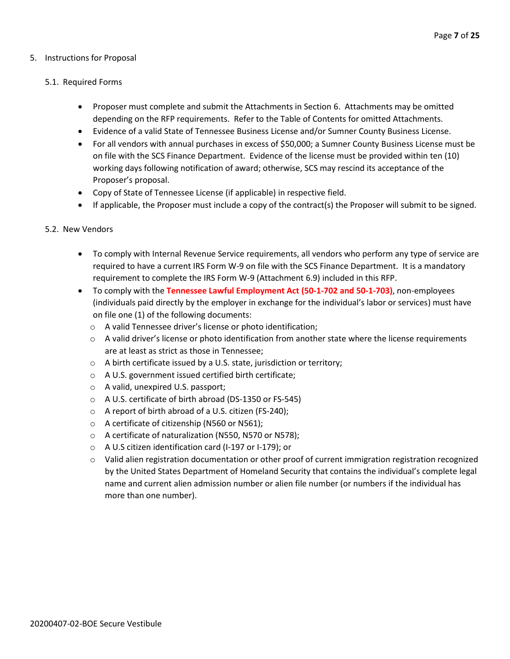#### 5. Instructions for Proposal

#### 5.1. Required Forms

- Proposer must complete and submit the Attachments in Section 6. Attachments may be omitted depending on the RFP requirements. Refer to the Table of Contents for omitted Attachments.
- Evidence of a valid State of Tennessee Business License and/or Sumner County Business License.
- For all vendors with annual purchases in excess of \$50,000; a Sumner County Business License must be on file with the SCS Finance Department. Evidence of the license must be provided within ten (10) working days following notification of award; otherwise, SCS may rescind its acceptance of the Proposer's proposal.
- Copy of State of Tennessee License (if applicable) in respective field.
- If applicable, the Proposer must include a copy of the contract(s) the Proposer will submit to be signed.

#### 5.2. New Vendors

- To comply with Internal Revenue Service requirements, all vendors who perform any type of service are required to have a current IRS Form W-9 on file with the SCS Finance Department. It is a mandatory requirement to complete the IRS Form W-9 (Attachment 6.9) included in this RFP.
- To comply with the **Tennessee Lawful Employment Act (50-1-702 and 50-1-703)**, non-employees (individuals paid directly by the employer in exchange for the individual's labor or services) must have on file one (1) of the following documents:
	- o A valid Tennessee driver's license or photo identification;
	- $\circ$  A valid driver's license or photo identification from another state where the license requirements are at least as strict as those in Tennessee;
	- o A birth certificate issued by a U.S. state, jurisdiction or territory;
	- o A U.S. government issued certified birth certificate;
	- o A valid, unexpired U.S. passport;
	- o A U.S. certificate of birth abroad (DS-1350 or FS-545)
	- o A report of birth abroad of a U.S. citizen (FS-240);
	- o A certificate of citizenship (N560 or N561);
	- o A certificate of naturalization (N550, N570 or N578);
	- o A U.S citizen identification card (I-197 or I-179); or
	- $\circ$  Valid alien registration documentation or other proof of current immigration registration recognized by the United States Department of Homeland Security that contains the individual's complete legal name and current alien admission number or alien file number (or numbers if the individual has more than one number).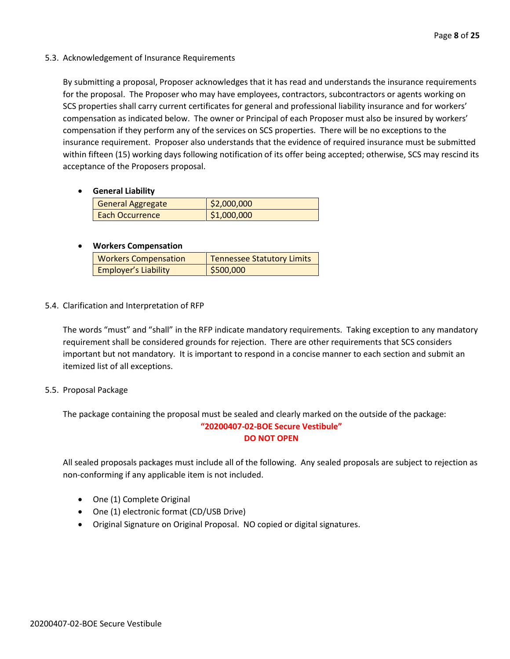#### 5.3. Acknowledgement of Insurance Requirements

By submitting a proposal, Proposer acknowledges that it has read and understands the insurance requirements for the proposal. The Proposer who may have employees, contractors, subcontractors or agents working on SCS properties shall carry current certificates for general and professional liability insurance and for workers' compensation as indicated below. The owner or Principal of each Proposer must also be insured by workers' compensation if they perform any of the services on SCS properties. There will be no exceptions to the insurance requirement. Proposer also understands that the evidence of required insurance must be submitted within fifteen (15) working days following notification of its offer being accepted; otherwise, SCS may rescind its acceptance of the Proposers proposal.

#### • **General Liability**

| <b>General Aggregate</b> | \$2,000,000 |
|--------------------------|-------------|
| Each Occurrence          | \$1,000,000 |

#### • **Workers Compensation**

| <b>Workers Compensation</b> | <b>Tennessee Statutory Limits</b> |
|-----------------------------|-----------------------------------|
| <b>Employer's Liability</b> | \$500,000                         |

#### 5.4. Clarification and Interpretation of RFP

The words "must" and "shall" in the RFP indicate mandatory requirements. Taking exception to any mandatory requirement shall be considered grounds for rejection. There are other requirements that SCS considers important but not mandatory. It is important to respond in a concise manner to each section and submit an itemized list of all exceptions.

#### 5.5. Proposal Package

The package containing the proposal must be sealed and clearly marked on the outside of the package: **"20200407-02-BOE Secure Vestibule" DO NOT OPEN**

All sealed proposals packages must include all of the following. Any sealed proposals are subject to rejection as non-conforming if any applicable item is not included.

- One (1) Complete Original
- One (1) electronic format (CD/USB Drive)
- Original Signature on Original Proposal. NO copied or digital signatures.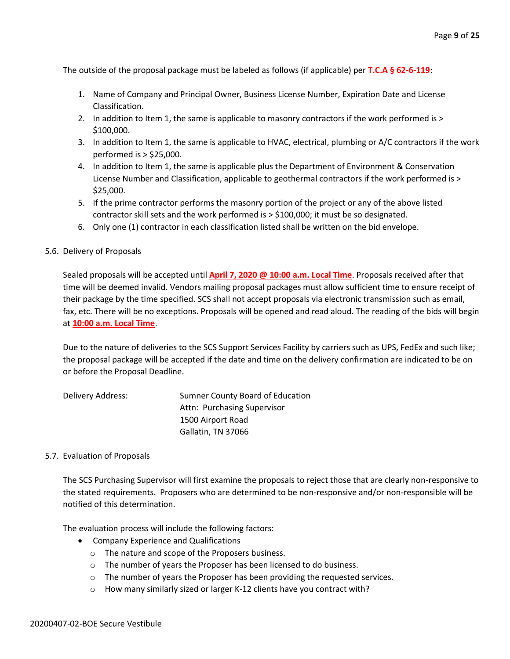The outside of the proposal package must be labeled as follows (if applicable) per **T.C.A § 62-6-119**:

- 1. Name of Company and Principal Owner, Business License Number, Expiration Date and License Classification.
- 2. In addition to Item 1, the same is applicable to masonry contractors if the work performed is > \$100,000.
- 3. In addition to Item 1, the same is applicable to HVAC, electrical, plumbing or A/C contractors if the work performed is > \$25,000.
- 4. In addition to Item 1, the same is applicable plus the Department of Environment & Conservation License Number and Classification, applicable to geothermal contractors if the work performed is > \$25,000.
- 5. If the prime contractor performs the masonry portion of the project or any of the above listed contractor skill sets and the work performed is > \$100,000; it must be so designated.
- 6. Only one (1) contractor in each classification listed shall be written on the bid envelope.
- 5.6. Delivery of Proposals

Sealed proposals will be accepted until **April 7, 2020 @ 10:00 a.m. Local Time**. Proposals received after that time will be deemed invalid. Vendors mailing proposal packages must allow sufficient time to ensure receipt of their package by the time specified. SCS shall not accept proposals via electronic transmission such as email, fax, etc. There will be no exceptions. Proposals will be opened and read aloud. The reading of the bids will begin at **10:00 a.m. Local Time**.

Due to the nature of deliveries to the SCS Support Services Facility by carriers such as UPS, FedEx and such like; the proposal package will be accepted if the date and time on the delivery confirmation are indicated to be on or before the Proposal Deadline.

| Delivery Address: | Sumner County Board of Education |
|-------------------|----------------------------------|
|                   | Attn: Purchasing Supervisor      |
|                   | 1500 Airport Road                |
|                   | Gallatin, TN 37066               |

#### 5.7. Evaluation of Proposals

The SCS Purchasing Supervisor will first examine the proposals to reject those that are clearly non-responsive to the stated requirements. Proposers who are determined to be non-responsive and/or non-responsible will be notified of this determination.

The evaluation process will include the following factors:

- Company Experience and Qualifications
	- o The nature and scope of the Proposers business.
	- o The number of years the Proposer has been licensed to do business.
	- o The number of years the Proposer has been providing the requested services.
	- o How many similarly sized or larger K-12 clients have you contract with?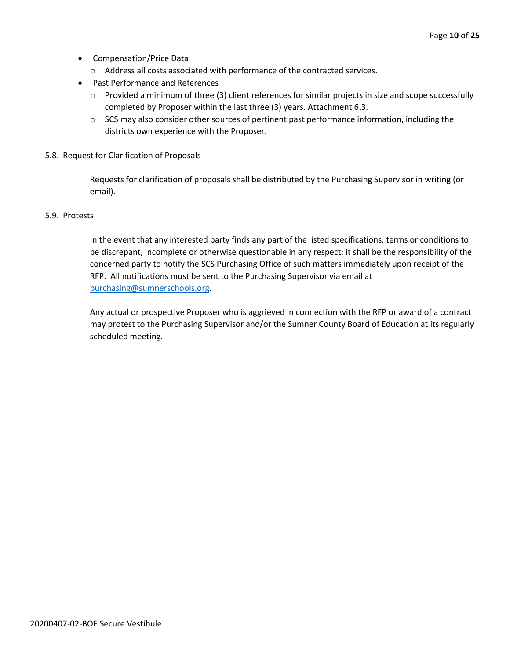- Compensation/Price Data
	- o Address all costs associated with performance of the contracted services.
- Past Performance and References
	- o Provided a minimum of three (3) client references for similar projects in size and scope successfully completed by Proposer within the last three (3) years. Attachment 6.3.
	- $\circ$  SCS may also consider other sources of pertinent past performance information, including the districts own experience with the Proposer.
- 5.8. Request for Clarification of Proposals

Requests for clarification of proposals shall be distributed by the Purchasing Supervisor in writing (or email).

#### 5.9. Protests

In the event that any interested party finds any part of the listed specifications, terms or conditions to be discrepant, incomplete or otherwise questionable in any respect; it shall be the responsibility of the concerned party to notify the SCS Purchasing Office of such matters immediately upon receipt of the RFP. All notifications must be sent to the Purchasing Supervisor via email at [purchasing@sumnerschools.org.](mailto:purchasing@sumnerschools.org)

Any actual or prospective Proposer who is aggrieved in connection with the RFP or award of a contract may protest to the Purchasing Supervisor and/or the Sumner County Board of Education at its regularly scheduled meeting.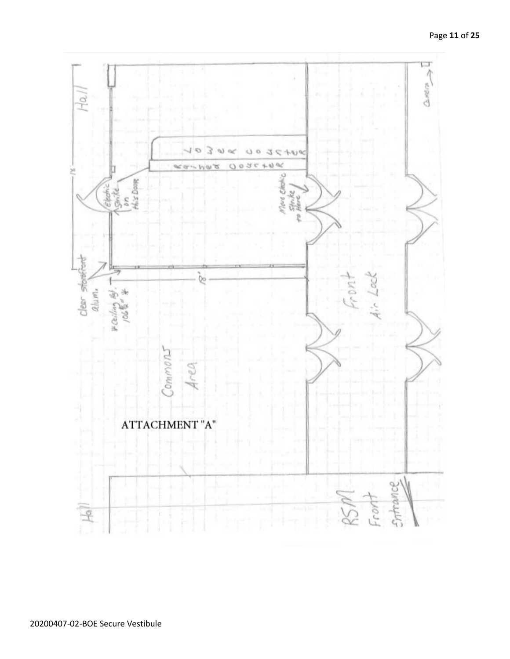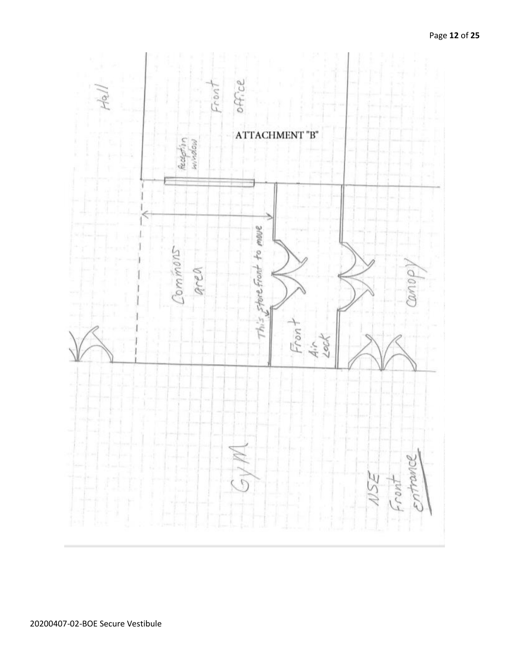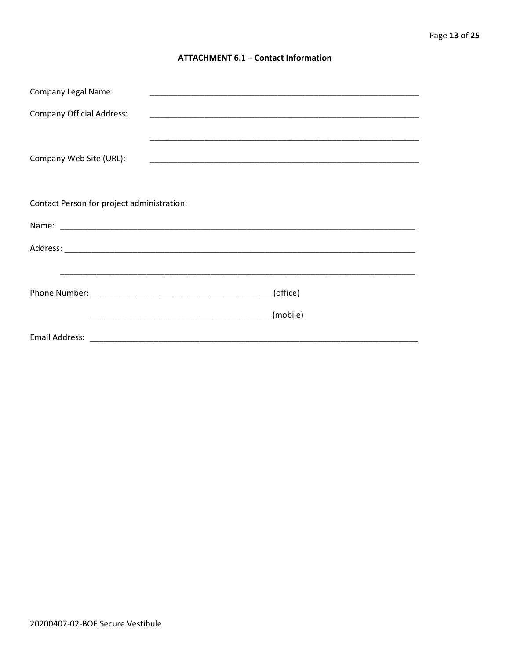#### **ATTACHMENT 6.1 - Contact Information**

| <b>Company Legal Name:</b>                 |  |          |
|--------------------------------------------|--|----------|
| <b>Company Official Address:</b>           |  |          |
|                                            |  |          |
| Company Web Site (URL):                    |  |          |
|                                            |  |          |
|                                            |  |          |
| Contact Person for project administration: |  |          |
|                                            |  |          |
|                                            |  |          |
|                                            |  |          |
|                                            |  | (office) |
|                                            |  |          |
|                                            |  | (mobile) |
|                                            |  |          |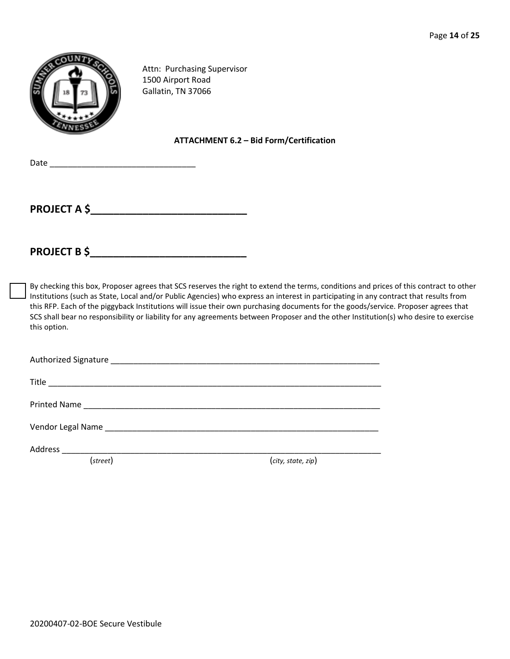

Attn: Purchasing Supervisor 1500 Airport Road Gallatin, TN 37066

#### **ATTACHMENT 6.2 – Bid Form/Certification**

 $Date$   $\Box$ 

**PROJECT A \$\_\_\_\_\_\_\_\_\_\_\_\_\_\_\_\_\_\_\_\_\_\_\_\_\_\_\_**

**PROJECT B \$** 

By checking this box, Proposer agrees that SCS reserves the right to extend the terms, conditions and prices of this contract to other Institutions (such as State, Local and/or Public Agencies) who express an interest in participating in any contract that results from this RFP. Each of the piggyback Institutions will issue their own purchasing documents for the goods/service. Proposer agrees that SCS shall bear no responsibility or liability for any agreements between Proposer and the other Institution(s) who desire to exercise this option.

Authorized Signature \_\_\_\_\_\_\_\_\_\_\_\_\_\_\_\_\_\_\_\_\_\_\_\_\_\_\_\_\_\_\_\_\_\_\_\_\_\_\_\_\_\_\_\_\_\_\_\_\_\_\_\_\_\_\_\_\_\_\_

Title \_\_\_\_\_\_\_\_\_\_\_\_\_\_\_\_\_\_\_\_\_\_\_\_\_\_\_\_\_\_\_\_\_\_\_\_\_\_\_\_\_\_\_\_\_\_\_\_\_\_\_\_\_\_\_\_\_\_\_\_\_\_\_\_\_\_\_\_\_\_\_\_\_

Printed Name \_\_\_\_\_\_\_\_\_\_\_\_\_\_\_\_\_\_\_\_\_\_\_\_\_\_\_\_\_\_\_\_\_\_\_\_\_\_\_\_\_\_\_\_\_\_\_\_\_\_\_\_\_\_\_\_\_\_\_\_\_\_\_\_\_

Vendor Legal Name \_\_\_\_\_\_\_\_\_\_\_\_\_\_\_\_\_\_\_\_\_\_\_\_\_\_\_\_\_\_\_\_\_\_\_\_\_\_\_\_\_\_\_\_\_\_\_\_\_\_\_\_\_\_\_\_\_\_\_\_

Address \_\_\_\_\_\_\_\_\_\_\_\_\_\_\_\_\_\_\_\_\_\_\_\_\_\_\_\_\_\_\_\_\_\_\_\_\_\_\_\_\_\_\_\_\_\_\_\_\_\_\_\_\_\_\_\_\_\_\_\_\_\_\_\_\_\_\_\_\_\_

(*street*) (*city, state, zip*)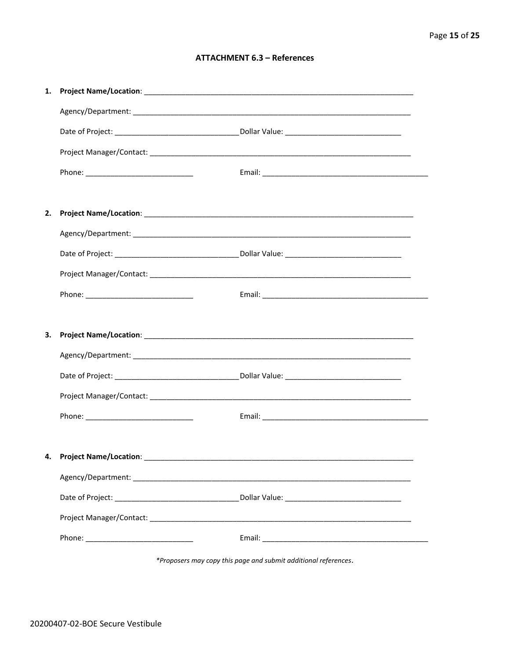#### **ATTACHMENT 6.3 - References**

| 1. |                                     |  |
|----|-------------------------------------|--|
|    |                                     |  |
|    |                                     |  |
|    |                                     |  |
|    |                                     |  |
|    |                                     |  |
| 2. |                                     |  |
|    |                                     |  |
|    |                                     |  |
|    |                                     |  |
|    |                                     |  |
|    |                                     |  |
|    |                                     |  |
| 3. |                                     |  |
|    |                                     |  |
|    |                                     |  |
|    |                                     |  |
|    |                                     |  |
|    |                                     |  |
|    | 4. Project Name/Location: _________ |  |
|    |                                     |  |
|    |                                     |  |
|    |                                     |  |

\*Proposers may copy this page and submit additional references.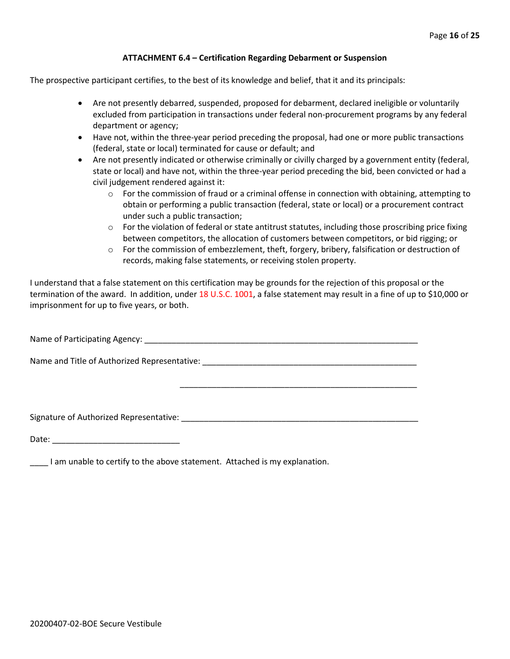#### **ATTACHMENT 6.4 – Certification Regarding Debarment or Suspension**

The prospective participant certifies, to the best of its knowledge and belief, that it and its principals:

- Are not presently debarred, suspended, proposed for debarment, declared ineligible or voluntarily excluded from participation in transactions under federal non-procurement programs by any federal department or agency;
- Have not, within the three-year period preceding the proposal, had one or more public transactions (federal, state or local) terminated for cause or default; and
- Are not presently indicated or otherwise criminally or civilly charged by a government entity (federal, state or local) and have not, within the three-year period preceding the bid, been convicted or had a civil judgement rendered against it:
	- $\circ$  For the commission of fraud or a criminal offense in connection with obtaining, attempting to obtain or performing a public transaction (federal, state or local) or a procurement contract under such a public transaction;
	- $\circ$  For the violation of federal or state antitrust statutes, including those proscribing price fixing between competitors, the allocation of customers between competitors, or bid rigging; or
	- $\circ$  For the commission of embezzlement, theft, forgery, bribery, falsification or destruction of records, making false statements, or receiving stolen property.

\_\_\_\_\_\_\_\_\_\_\_\_\_\_\_\_\_\_\_\_\_\_\_\_\_\_\_\_\_\_\_\_\_\_\_\_\_\_\_\_\_\_\_\_\_\_\_\_\_\_\_\_

I understand that a false statement on this certification may be grounds for the rejection of this proposal or the termination of the award. In addition, under 18 U.S.C. 1001, a false statement may result in a fine of up to \$10,000 or imprisonment for up to five years, or both.

Name of Participating Agency: \_\_\_\_\_\_\_\_\_\_\_\_\_\_\_\_\_\_\_\_\_\_\_\_\_\_\_\_\_\_\_\_\_\_\_\_\_\_\_\_\_\_\_\_\_\_\_\_\_\_\_\_\_\_\_\_\_\_\_\_

Name and Title of Authorized Representative: \_\_\_\_\_\_\_\_\_\_\_\_\_\_\_\_\_\_\_\_\_\_\_\_\_\_\_\_\_\_\_\_\_\_\_

Signature of Authorized Representative: \_\_\_\_\_\_\_\_\_\_\_\_\_\_\_\_\_\_\_\_\_\_\_\_\_\_\_\_\_\_\_\_\_\_\_\_\_\_\_\_\_\_\_\_\_\_\_\_\_\_\_\_

Date: \_\_\_\_\_\_\_\_\_\_\_\_\_\_\_\_\_\_\_\_\_\_\_\_\_\_\_\_

\_\_\_\_ I am unable to certify to the above statement. Attached is my explanation.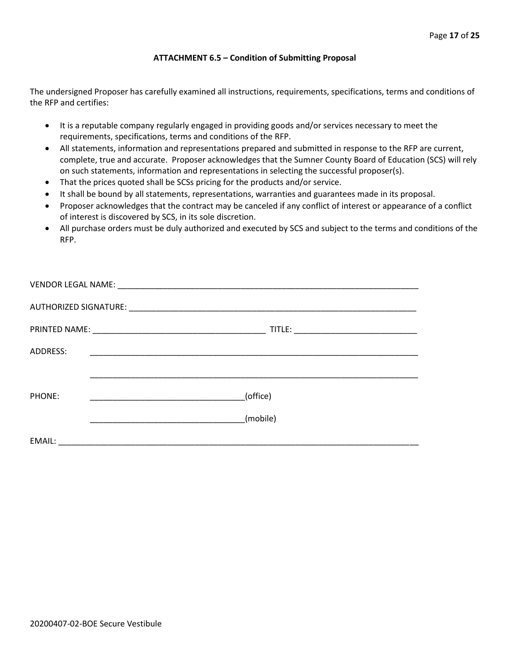#### **ATTACHMENT 6.5 – Condition of Submitting Proposal**

The undersigned Proposer has carefully examined all instructions, requirements, specifications, terms and conditions of the RFP and certifies:

- It is a reputable company regularly engaged in providing goods and/or services necessary to meet the requirements, specifications, terms and conditions of the RFP.
- All statements, information and representations prepared and submitted in response to the RFP are current, complete, true and accurate. Proposer acknowledges that the Sumner County Board of Education (SCS) will rely on such statements, information and representations in selecting the successful proposer(s).
- That the prices quoted shall be SCSs pricing for the products and/or service.
- It shall be bound by all statements, representations, warranties and guarantees made in its proposal.
- Proposer acknowledges that the contract may be canceled if any conflict of interest or appearance of a conflict of interest is discovered by SCS, in its sole discretion.
- All purchase orders must be duly authorized and executed by SCS and subject to the terms and conditions of the RFP.

| ADDRESS: |          |
|----------|----------|
|          |          |
| PHONE:   | (office) |
|          | (mobile) |
| EMAIL:   |          |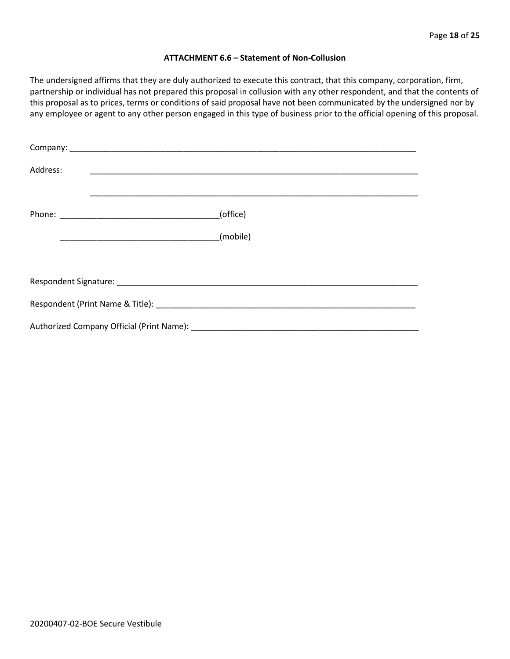#### **ATTACHMENT 6.6 – Statement of Non-Collusion**

The undersigned affirms that they are duly authorized to execute this contract, that this company, corporation, firm, partnership or individual has not prepared this proposal in collusion with any other respondent, and that the contents of this proposal as to prices, terms or conditions of said proposal have not been communicated by the undersigned nor by any employee or agent to any other person engaged in this type of business prior to the official opening of this proposal.

| Address:                                                                                                                                                                                                                       |          |
|--------------------------------------------------------------------------------------------------------------------------------------------------------------------------------------------------------------------------------|----------|
|                                                                                                                                                                                                                                | (office) |
|                                                                                                                                                                                                                                | (mobile) |
|                                                                                                                                                                                                                                |          |
|                                                                                                                                                                                                                                |          |
| Respondent (Print Name & Title): North and South American Section 1996. The Second Section 1997 and Second Second Second Second Second Second Second Second Second Second Second Second Second Second Second Second Second Sec |          |
|                                                                                                                                                                                                                                |          |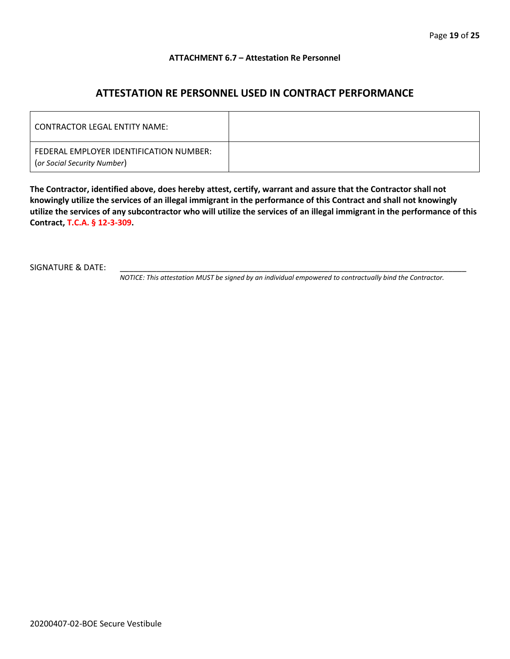#### **ATTACHMENT 6.7 – Attestation Re Personnel**

### **ATTESTATION RE PERSONNEL USED IN CONTRACT PERFORMANCE**

| CONTRACTOR LEGAL ENTITY NAME:                                          |  |
|------------------------------------------------------------------------|--|
| FEDERAL EMPLOYER IDENTIFICATION NUMBER:<br>(or Social Security Number) |  |

**The Contractor, identified above, does hereby attest, certify, warrant and assure that the Contractor shall not knowingly utilize the services of an illegal immigrant in the performance of this Contract and shall not knowingly utilize the services of any subcontractor who will utilize the services of an illegal immigrant in the performance of this Contract, T.C.A. § 12-3-309.**

SIGNATURE & DATE:

*NOTICE: This attestation MUST be signed by an individual empowered to contractually bind the Contractor.*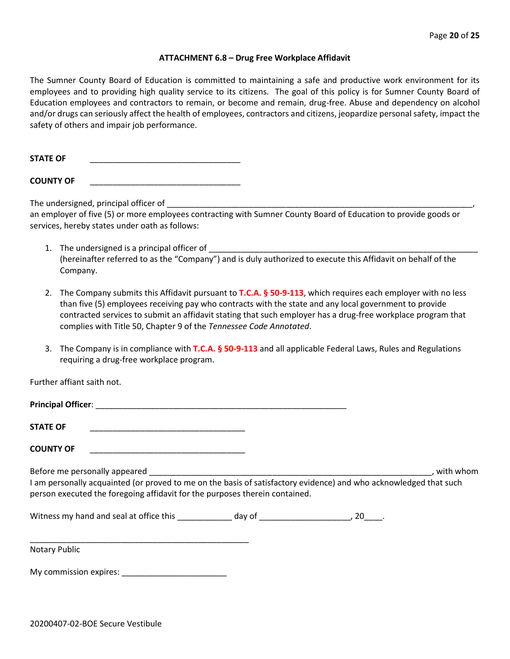#### **ATTACHMENT 6.8 – Drug Free Workplace Affidavit**

The Sumner County Board of Education is committed to maintaining a safe and productive work environment for its employees and to providing high quality service to its citizens. The goal of this policy is for Sumner County Board of Education employees and contractors to remain, or become and remain, drug-free. Abuse and dependency on alcohol and/or drugs can seriously affect the health of employees, contractors and citizens, jeopardize personal safety, impact the safety of others and impair job performance.

STATE OF

**COUNTY OF** \_\_\_\_\_\_\_\_\_\_\_\_\_\_\_\_\_\_\_\_\_\_\_\_\_\_\_\_\_\_\_\_\_

The undersigned, principal officer of

an employer of five (5) or more employees contracting with Sumner County Board of Education to provide goods or services, hereby states under oath as follows:

- 1. The undersigned is a principal officer of (hereinafter referred to as the "Company") and is duly authorized to execute this Affidavit on behalf of the Company.
- 2. The Company submits this Affidavit pursuant to **T.C.A. § 50-9-113**, which requires each employer with no less than five (5) employees receiving pay who contracts with the state and any local government to provide contracted services to submit an affidavit stating that such employer has a drug-free workplace program that complies with Title 50, Chapter 9 of the *Tennessee Code Annotated*.
- 3. The Company is in compliance with **T.C.A. § 50-9-113** and all applicable Federal Laws, Rules and Regulations requiring a drug-free workplace program.

Further affiant saith not.

| <b>Principal Officer:</b> |  |
|---------------------------|--|
|                           |  |
| <b>STATE OF</b>           |  |

**COUNTY OF** \_\_\_\_\_\_\_\_\_\_\_\_\_\_\_\_\_\_\_\_\_\_\_\_\_\_\_\_\_\_\_\_\_\_

Before me personally appeared \_\_\_\_\_\_\_\_\_\_\_\_\_\_\_\_\_\_\_\_\_\_\_\_\_\_\_\_\_\_\_\_\_\_\_\_\_\_\_\_\_\_\_\_\_\_\_\_\_\_\_\_\_\_\_\_\_\_\_\_\_\_, with whom I am personally acquainted (or proved to me on the basis of satisfactory evidence) and who acknowledged that such person executed the foregoing affidavit for the purposes therein contained.

Witness my hand and seal at office this \_\_\_\_\_\_\_\_\_\_\_\_\_ day of \_\_\_\_\_\_\_\_\_\_\_\_\_\_\_\_\_\_\_\_\_, 20\_\_\_\_.

Notary Public

My commission expires: \_\_\_\_\_\_\_\_\_\_\_\_\_\_\_\_\_\_\_\_\_\_\_

\_\_\_\_\_\_\_\_\_\_\_\_\_\_\_\_\_\_\_\_\_\_\_\_\_\_\_\_\_\_\_\_\_\_\_\_\_\_\_\_\_\_\_\_\_\_\_\_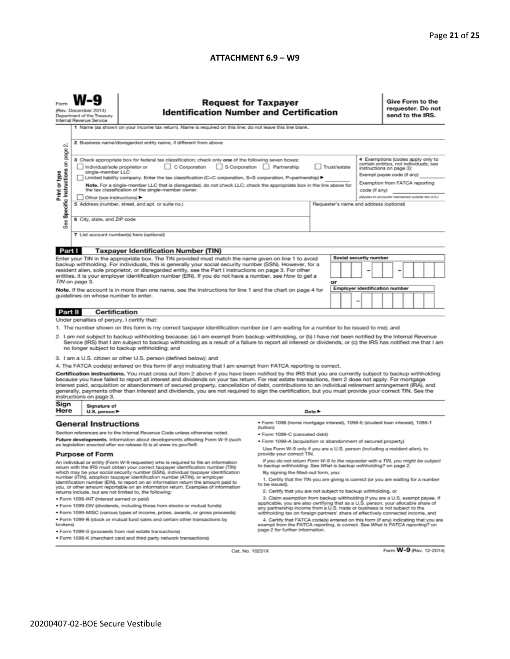#### **ATTACHMENT 6.9 - W9**

| N                                                                                                                                                                                                                                                                                                                                                                                                                                                                                                                                                                                                                                                        | <b>Request for Taxpayer</b><br>(Rev. December 2014)<br><b>Identification Number and Certification</b><br>Department of the Treasury<br>Internal Revenue Service<br>1 Name (as shown on your income tax return). Name is required on this line; do not leave this line blank.<br>2 Business name/disregarded entity name, if different from above                                                                                                                                                                                                                                                                                                                                                                    |                                                                                                                                                                                                                                                                                                                                  |                                                                                                                                                      |  |  |  |                        |                                                                                                                                                                                                                                               | Give Form to the<br>requester. Do not<br>send to the IRS. |  |  |  |  |
|----------------------------------------------------------------------------------------------------------------------------------------------------------------------------------------------------------------------------------------------------------------------------------------------------------------------------------------------------------------------------------------------------------------------------------------------------------------------------------------------------------------------------------------------------------------------------------------------------------------------------------------------------------|---------------------------------------------------------------------------------------------------------------------------------------------------------------------------------------------------------------------------------------------------------------------------------------------------------------------------------------------------------------------------------------------------------------------------------------------------------------------------------------------------------------------------------------------------------------------------------------------------------------------------------------------------------------------------------------------------------------------|----------------------------------------------------------------------------------------------------------------------------------------------------------------------------------------------------------------------------------------------------------------------------------------------------------------------------------|------------------------------------------------------------------------------------------------------------------------------------------------------|--|--|--|------------------------|-----------------------------------------------------------------------------------------------------------------------------------------------------------------------------------------------------------------------------------------------|-----------------------------------------------------------|--|--|--|--|
| Print or type<br>See                                                                                                                                                                                                                                                                                                                                                                                                                                                                                                                                                                                                                                     | Specific Instructions on page<br>3 Check appropriate box for federal tax classification; check only one of the following seven boxes:<br>C Corporation<br>S Corporation Partnership<br>Trust/estate<br>Individual/sole proprietor or<br>single-member LLC<br>Limited liability company. Enter the tax classification (C=C corporation, S=S corporation, P=partnership) ▶<br>Note. For a single-member LLC that is disregarded, do not check LLC; check the appropriate box in the line above for<br>the tax classification of the single-member owner.<br>Other (see instructions) ▶<br>5 Address (number, street, and apt. or suite no.)<br>Requester's name and address (optional)<br>6 City, state, and ZIP code |                                                                                                                                                                                                                                                                                                                                  |                                                                                                                                                      |  |  |  |                        | 4 Exemptions (codes apply only to<br>certain entities, not individuals; see<br>instructions on page 3):<br>Exempt payee code (if any)<br>Exemption from FATCA reporting<br>code (if any)<br>(Applies to accounts maintained outside the U.S.) |                                                           |  |  |  |  |
| 7 List account number(s) here (optional)                                                                                                                                                                                                                                                                                                                                                                                                                                                                                                                                                                                                                 |                                                                                                                                                                                                                                                                                                                                                                                                                                                                                                                                                                                                                                                                                                                     |                                                                                                                                                                                                                                                                                                                                  |                                                                                                                                                      |  |  |  |                        |                                                                                                                                                                                                                                               |                                                           |  |  |  |  |
| Part I                                                                                                                                                                                                                                                                                                                                                                                                                                                                                                                                                                                                                                                   |                                                                                                                                                                                                                                                                                                                                                                                                                                                                                                                                                                                                                                                                                                                     | <b>Taxpayer Identification Number (TIN)</b>                                                                                                                                                                                                                                                                                      |                                                                                                                                                      |  |  |  |                        |                                                                                                                                                                                                                                               |                                                           |  |  |  |  |
|                                                                                                                                                                                                                                                                                                                                                                                                                                                                                                                                                                                                                                                          |                                                                                                                                                                                                                                                                                                                                                                                                                                                                                                                                                                                                                                                                                                                     | Enter your TIN in the appropriate box. The TIN provided must match the name given on line 1 to avoid                                                                                                                                                                                                                             |                                                                                                                                                      |  |  |  | Social security number |                                                                                                                                                                                                                                               |                                                           |  |  |  |  |
|                                                                                                                                                                                                                                                                                                                                                                                                                                                                                                                                                                                                                                                          | TIN on page 3.                                                                                                                                                                                                                                                                                                                                                                                                                                                                                                                                                                                                                                                                                                      | backup withholding. For individuals, this is generally your social security number (SSN). However, for a<br>resident alien, sole proprietor, or disregarded entity, see the Part I instructions on page 3. For other<br>entities, it is your employer identification number (EIN). If you do not have a number, see How to get a | or                                                                                                                                                   |  |  |  |                        |                                                                                                                                                                                                                                               |                                                           |  |  |  |  |
| Note. If the account is in more than one name, see the instructions for line 1 and the chart on page 4 for<br>guidelines on whose number to enter.                                                                                                                                                                                                                                                                                                                                                                                                                                                                                                       |                                                                                                                                                                                                                                                                                                                                                                                                                                                                                                                                                                                                                                                                                                                     |                                                                                                                                                                                                                                                                                                                                  | Employer identification number<br>-                                                                                                                  |  |  |  |                        |                                                                                                                                                                                                                                               |                                                           |  |  |  |  |
| Part II                                                                                                                                                                                                                                                                                                                                                                                                                                                                                                                                                                                                                                                  | <b>Certification</b>                                                                                                                                                                                                                                                                                                                                                                                                                                                                                                                                                                                                                                                                                                |                                                                                                                                                                                                                                                                                                                                  |                                                                                                                                                      |  |  |  |                        |                                                                                                                                                                                                                                               |                                                           |  |  |  |  |
|                                                                                                                                                                                                                                                                                                                                                                                                                                                                                                                                                                                                                                                          | Under penalties of perjury, I certify that:                                                                                                                                                                                                                                                                                                                                                                                                                                                                                                                                                                                                                                                                         |                                                                                                                                                                                                                                                                                                                                  |                                                                                                                                                      |  |  |  |                        |                                                                                                                                                                                                                                               |                                                           |  |  |  |  |
| 1. The number shown on this form is my correct taxpayer identification number (or I am waiting for a number to be issued to me); and<br>2. I am not subject to backup withholding because: (a) I am exempt from backup withholding, or (b) I have not been notified by the Internal Revenue<br>Service (IRS) that I am subject to backup withholding as a result of a failure to report all interest or dividends, or (c) the IRS has notified me that I am<br>no longer subject to backup withholding; and                                                                                                                                              |                                                                                                                                                                                                                                                                                                                                                                                                                                                                                                                                                                                                                                                                                                                     |                                                                                                                                                                                                                                                                                                                                  |                                                                                                                                                      |  |  |  |                        |                                                                                                                                                                                                                                               |                                                           |  |  |  |  |
|                                                                                                                                                                                                                                                                                                                                                                                                                                                                                                                                                                                                                                                          |                                                                                                                                                                                                                                                                                                                                                                                                                                                                                                                                                                                                                                                                                                                     | 3. I am a U.S. citizen or other U.S. person (defined below); and                                                                                                                                                                                                                                                                 |                                                                                                                                                      |  |  |  |                        |                                                                                                                                                                                                                                               |                                                           |  |  |  |  |
|                                                                                                                                                                                                                                                                                                                                                                                                                                                                                                                                                                                                                                                          |                                                                                                                                                                                                                                                                                                                                                                                                                                                                                                                                                                                                                                                                                                                     | 4. The FATCA code(s) entered on this form (if any) indicating that I am exempt from FATCA reporting is correct.                                                                                                                                                                                                                  |                                                                                                                                                      |  |  |  |                        |                                                                                                                                                                                                                                               |                                                           |  |  |  |  |
| Certification instructions. You must cross out item 2 above if you have been notified by the IRS that you are currently subject to backup withholding<br>because you have failed to report all interest and dividends on your tax return. For real estate transactions, item 2 does not apply. For mortgage<br>interest paid, acquisition or abandonment of secured property, cancellation of debt, contributions to an individual retirement arrangement (IRA), and<br>generally, payments other than interest and dividends, you are not required to sign the certification, but you must provide your correct TIN. See the<br>instructions on page 3. |                                                                                                                                                                                                                                                                                                                                                                                                                                                                                                                                                                                                                                                                                                                     |                                                                                                                                                                                                                                                                                                                                  |                                                                                                                                                      |  |  |  |                        |                                                                                                                                                                                                                                               |                                                           |  |  |  |  |
| Sign<br>Here                                                                                                                                                                                                                                                                                                                                                                                                                                                                                                                                                                                                                                             | Signature of<br>U.S. person ▶                                                                                                                                                                                                                                                                                                                                                                                                                                                                                                                                                                                                                                                                                       |                                                                                                                                                                                                                                                                                                                                  | Date P                                                                                                                                               |  |  |  |                        |                                                                                                                                                                                                                                               |                                                           |  |  |  |  |
|                                                                                                                                                                                                                                                                                                                                                                                                                                                                                                                                                                                                                                                          | <b>General Instructions</b>                                                                                                                                                                                                                                                                                                                                                                                                                                                                                                                                                                                                                                                                                         |                                                                                                                                                                                                                                                                                                                                  | · Form 1098 (home mortgage interest), 1098-E (student Ioan interest), 1098-T                                                                         |  |  |  |                        |                                                                                                                                                                                                                                               |                                                           |  |  |  |  |
| Section references are to the Internal Revenue Code unless otherwise noted.                                                                                                                                                                                                                                                                                                                                                                                                                                                                                                                                                                              |                                                                                                                                                                                                                                                                                                                                                                                                                                                                                                                                                                                                                                                                                                                     |                                                                                                                                                                                                                                                                                                                                  | (tuition)                                                                                                                                            |  |  |  |                        |                                                                                                                                                                                                                                               |                                                           |  |  |  |  |
|                                                                                                                                                                                                                                                                                                                                                                                                                                                                                                                                                                                                                                                          |                                                                                                                                                                                                                                                                                                                                                                                                                                                                                                                                                                                                                                                                                                                     | Future developments. Information about developments affecting Form W-9 (such                                                                                                                                                                                                                                                     | • Form 1099-C (canceled debt)<br>. Form 1099-A (acquisition or abandonment of secured property)                                                      |  |  |  |                        |                                                                                                                                                                                                                                               |                                                           |  |  |  |  |
| as legislation enacted after we release it) is at www.irs.gov/fw9.<br><b>Purpose of Form</b>                                                                                                                                                                                                                                                                                                                                                                                                                                                                                                                                                             |                                                                                                                                                                                                                                                                                                                                                                                                                                                                                                                                                                                                                                                                                                                     | Use Form W-9 only if you are a U.S. person (including a resident alien), to<br>provide your correct TIN.                                                                                                                                                                                                                         |                                                                                                                                                      |  |  |  |                        |                                                                                                                                                                                                                                               |                                                           |  |  |  |  |
| An individual or entity (Form W-9 requester) who is required to file an information<br>return with the IRS must obtain your correct taxpayer identification number (TIN)                                                                                                                                                                                                                                                                                                                                                                                                                                                                                 |                                                                                                                                                                                                                                                                                                                                                                                                                                                                                                                                                                                                                                                                                                                     |                                                                                                                                                                                                                                                                                                                                  | If you do not return Form W-9 to the requester with a TIN, you might be subject<br>to backup withholding. See What is backup withholding? on page 2. |  |  |  |                        |                                                                                                                                                                                                                                               |                                                           |  |  |  |  |
| which may be your social security number (SSN), individual taxpayer identification<br>number (ITIN), adoption taxpayer identification number (ATIN), or employer<br>identification number (EIN), to report on an information return the amount paid to<br>you, or other amount reportable on an information return. Examples of information<br>returns include, but are not limited to, the following:                                                                                                                                                                                                                                                   |                                                                                                                                                                                                                                                                                                                                                                                                                                                                                                                                                                                                                                                                                                                     | By signing the filled-out form, you:<br>1. Certify that the TIN you are giving is correct (or you are waiting for a number<br>to be issued).<br>2. Certify that you are not subject to backup withholding, or                                                                                                                    |                                                                                                                                                      |  |  |  |                        |                                                                                                                                                                                                                                               |                                                           |  |  |  |  |
| 3. Claim exemption from backup withholding if you are a U.S. exempt payee. If<br>· Form 1099-INT (interest earned or paid)                                                                                                                                                                                                                                                                                                                                                                                                                                                                                                                               |                                                                                                                                                                                                                                                                                                                                                                                                                                                                                                                                                                                                                                                                                                                     |                                                                                                                                                                                                                                                                                                                                  |                                                                                                                                                      |  |  |  |                        |                                                                                                                                                                                                                                               |                                                           |  |  |  |  |
|                                                                                                                                                                                                                                                                                                                                                                                                                                                                                                                                                                                                                                                          |                                                                                                                                                                                                                                                                                                                                                                                                                                                                                                                                                                                                                                                                                                                     | . Form 1099-DIV (dividends, including those from stocks or mutual funds)                                                                                                                                                                                                                                                         | applicable, you are also certifying that as a U.S. person, your allocable share of                                                                   |  |  |  |                        |                                                                                                                                                                                                                                               |                                                           |  |  |  |  |
| any partnership income from a U.S. trade or business is not subject to the<br>. Form 1099-MISC (various types of income, prizes, awards, or gross proceeds)<br>withholding tax on foreign partners' share of effectively connected income, and                                                                                                                                                                                                                                                                                                                                                                                                           |                                                                                                                                                                                                                                                                                                                                                                                                                                                                                                                                                                                                                                                                                                                     |                                                                                                                                                                                                                                                                                                                                  |                                                                                                                                                      |  |  |  |                        |                                                                                                                                                                                                                                               |                                                           |  |  |  |  |
| brokers)                                                                                                                                                                                                                                                                                                                                                                                                                                                                                                                                                                                                                                                 | . Form 1099-B (stock or mutual fund sales and certain other transactions by                                                                                                                                                                                                                                                                                                                                                                                                                                                                                                                                                                                                                                         | 4. Certify that FATCA code(s) entered on this form (if any) indicating that you are<br>exempt from the FATCA reporting, is correct. See What is FATCA reporting? on                                                                                                                                                              |                                                                                                                                                      |  |  |  |                        |                                                                                                                                                                                                                                               |                                                           |  |  |  |  |
|                                                                                                                                                                                                                                                                                                                                                                                                                                                                                                                                                                                                                                                          | page 2 for further information.<br>· Form 1099-S (proceeds from real estate transactions)<br>. Form 1099-K (merchant card and third party network transactions)                                                                                                                                                                                                                                                                                                                                                                                                                                                                                                                                                     |                                                                                                                                                                                                                                                                                                                                  |                                                                                                                                                      |  |  |  |                        |                                                                                                                                                                                                                                               |                                                           |  |  |  |  |
|                                                                                                                                                                                                                                                                                                                                                                                                                                                                                                                                                                                                                                                          |                                                                                                                                                                                                                                                                                                                                                                                                                                                                                                                                                                                                                                                                                                                     |                                                                                                                                                                                                                                                                                                                                  |                                                                                                                                                      |  |  |  |                        |                                                                                                                                                                                                                                               |                                                           |  |  |  |  |

Cat. No. 10231X

Form **W-9** (Rev. 12-2014)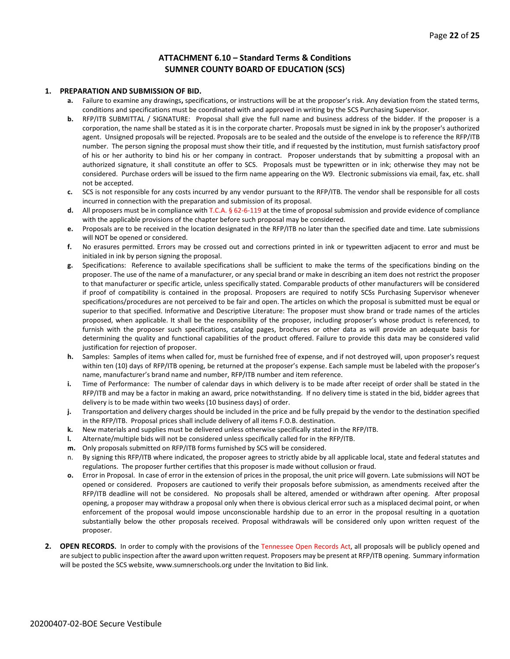#### **ATTACHMENT 6.10 – Standard Terms & Conditions SUMNER COUNTY BOARD OF EDUCATION (SCS)**

#### **1. PREPARATION AND SUBMISSION OF BID.**

- **a.** Failure to examine any drawings**,** specifications, or instructions will be at the proposer's risk. Any deviation from the stated terms, conditions and specifications must be coordinated with and approved in writing by the SCS Purchasing Supervisor.
- **b.** RFP/ITB SUBMITTAL / SIGNATURE: Proposal shall give the full name and business address of the bidder. If the proposer is a corporation, the name shall be stated as it is in the corporate charter. Proposals must be signed in ink by the proposer's authorized agent. Unsigned proposals will be rejected. Proposals are to be sealed and the outside of the envelope is to reference the RFP/ITB number. The person signing the proposal must show their title, and if requested by the institution, must furnish satisfactory proof of his or her authority to bind his or her company in contract. Proposer understands that by submitting a proposal with an authorized signature, it shall constitute an offer to SCS. Proposals must be typewritten or in ink; otherwise they may not be considered. Purchase orders will be issued to the firm name appearing on the W9. Electronic submissions via email, fax, etc. shall not be accepted.
- **c.** SCS is not responsible for any costs incurred by any vendor pursuant to the RFP/ITB. The vendor shall be responsible for all costs incurred in connection with the preparation and submission of its proposal.
- **d.** All proposers must be in compliance with T.C.A. § 62-6-119 at the time of proposal submission and provide evidence of compliance with the applicable provisions of the chapter before such proposal may be considered.
- **e.** Proposals are to be received in the location designated in the RFP/ITB no later than the specified date and time. Late submissions will NOT be opened or considered.
- **f.** No erasures permitted. Errors may be crossed out and corrections printed in ink or typewritten adjacent to error and must be initialed in ink by person signing the proposal.
- **g.** Specifications: Reference to available specifications shall be sufficient to make the terms of the specifications binding on the proposer. The use of the name of a manufacturer, or any special brand or make in describing an item does not restrict the proposer to that manufacturer or specific article, unless specifically stated. Comparable products of other manufacturers will be considered if proof of compatibility is contained in the proposal. Proposers are required to notify SCSs Purchasing Supervisor whenever specifications/procedures are not perceived to be fair and open. The articles on which the proposal is submitted must be equal or superior to that specified. Informative and Descriptive Literature: The proposer must show brand or trade names of the articles proposed, when applicable. It shall be the responsibility of the proposer, including proposer's whose product is referenced, to furnish with the proposer such specifications, catalog pages, brochures or other data as will provide an adequate basis for determining the quality and functional capabilities of the product offered. Failure to provide this data may be considered valid justification for rejection of proposer.
- **h.** Samples: Samples of items when called for, must be furnished free of expense, and if not destroyed will, upon proposer's request within ten (10) days of RFP/ITB opening, be returned at the proposer's expense. Each sample must be labeled with the proposer's name, manufacturer's brand name and number, RFP/ITB number and item reference.
- **i.** Time of Performance: The number of calendar days in which delivery is to be made after receipt of order shall be stated in the RFP/ITB and may be a factor in making an award, price notwithstanding. If no delivery time is stated in the bid, bidder agrees that delivery is to be made within two weeks (10 business days) of order.
- **j.** Transportation and delivery charges should be included in the price and be fully prepaid by the vendor to the destination specified in the RFP/ITB. Proposal prices shall include delivery of all items F.O.B. destination.
- **k.** New materials and supplies must be delivered unless otherwise specifically stated in the RFP/ITB.
- **l.** Alternate/multiple bids will not be considered unless specifically called for in the RFP/ITB.
- **m.** Only proposals submitted on RFP/ITB forms furnished by SCS will be considered.
- n. By signing this RFP/ITB where indicated, the proposer agrees to strictly abide by all applicable local, state and federal statutes and regulations. The proposer further certifies that this proposer is made without collusion or fraud.
- **o.** Error in Proposal. In case of error in the extension of prices in the proposal, the unit price will govern. Late submissions will NOT be opened or considered. Proposers are cautioned to verify their proposals before submission, as amendments received after the RFP/ITB deadline will not be considered. No proposals shall be altered, amended or withdrawn after opening. After proposal opening, a proposer may withdraw a proposal only when there is obvious clerical error such as a misplaced decimal point, or when enforcement of the proposal would impose unconscionable hardship due to an error in the proposal resulting in a quotation substantially below the other proposals received. Proposal withdrawals will be considered only upon written request of the proposer.
- **2. OPEN RECORDS.** In order to comply with the provisions of the Tennessee Open Records Act, all proposals will be publicly opened and are subject to public inspection after the award upon written request. Proposers may be present at RFP/ITB opening. Summary information will be posted the SCS website, www.sumnerschools.org under the Invitation to Bid link.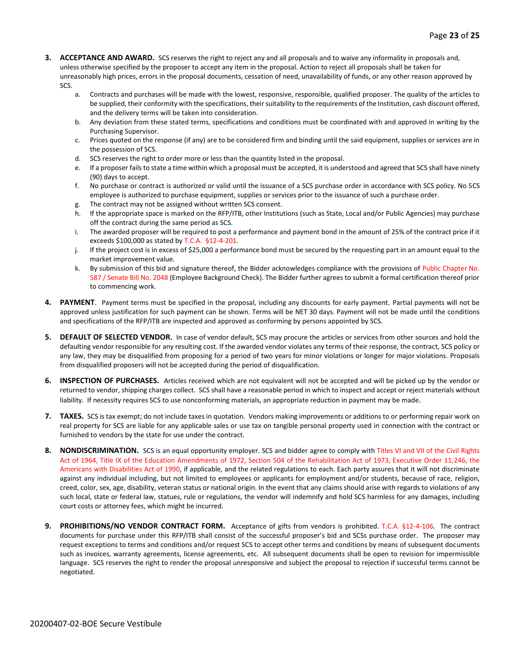- **3. ACCEPTANCE AND AWARD.** SCS reserves the right to reject any and all proposals and to waive any informality in proposals and, unless otherwise specified by the proposer to accept any item in the proposal. Action to reject all proposals shall be taken for unreasonably high prices, errors in the proposal documents, cessation of need, unavailability of funds, or any other reason approved by SCS.
	- a. Contracts and purchases will be made with the lowest, responsive, responsible, qualified proposer. The quality of the articles to be supplied, their conformity with the specifications, their suitability to the requirements of the Institution, cash discount offered, and the delivery terms will be taken into consideration.
	- b. Any deviation from these stated terms, specifications and conditions must be coordinated with and approved in writing by the Purchasing Supervisor.
	- c. Prices quoted on the response (if any) are to be considered firm and binding until the said equipment, supplies or services are in the possession of SCS.
	- d. SCS reserves the right to order more or less than the quantity listed in the proposal.
	- e. If a proposer fails to state a time within which a proposal must be accepted, it is understood and agreed that SCS shall have ninety (90) days to accept.
	- f. No purchase or contract is authorized or valid until the issuance of a SCS purchase order in accordance with SCS policy. No SCS employee is authorized to purchase equipment, supplies or services prior to the issuance of such a purchase order.
	- g. The contract may not be assigned without written SCS consent.
	- h. If the appropriate space is marked on the RFP/ITB, other Institutions (such as State, Local and/or Public Agencies) may purchase off the contract during the same period as SCS.
	- i. The awarded proposer will be required to post a performance and payment bond in the amount of 25% of the contract price if it exceeds \$100,000 as stated by T.C.A. §12-4-201.
	- j. If the project cost is in excess of \$25,000 a performance bond must be secured by the requesting part in an amount equal to the market improvement value.
	- k. By submission of this bid and signature thereof, the Bidder acknowledges compliance with the provisions of Public Chapter No. 587 / Senate Bill No. 2048 (Employee Background Check). The Bidder further agrees to submit a formal certification thereof prior to commencing work.
- **4. PAYMENT**. Payment terms must be specified in the proposal, including any discounts for early payment. Partial payments will not be approved unless justification for such payment can be shown. Terms will be NET 30 days. Payment will not be made until the conditions and specifications of the RFP/ITB are inspected and approved as conforming by persons appointed by SCS.
- **5. DEFAULT OF SELECTED VENDOR.** In case of vendor default, SCS may procure the articles or services from other sources and hold the defaulting vendor responsible for any resulting cost. If the awarded vendor violates any terms of their response, the contract, SCS policy or any law, they may be disqualified from proposing for a period of two years for minor violations or longer for major violations. Proposals from disqualified proposers will not be accepted during the period of disqualification.
- **6. INSPECTION OF PURCHASES.** Articles received which are not equivalent will not be accepted and will be picked up by the vendor or returned to vendor, shipping charges collect. SCS shall have a reasonable period in which to inspect and accept or reject materials without liability. If necessity requires SCS to use nonconforming materials, an appropriate reduction in payment may be made.
- **7. TAXES.** SCS is tax exempt; do not include taxes in quotation. Vendors making improvements or additions to or performing repair work on real property for SCS are liable for any applicable sales or use tax on tangible personal property used in connection with the contract or furnished to vendors by the state for use under the contract.
- **8. NONDISCRIMINATION.** SCS is an equal opportunity employer. SCS and bidder agree to comply with Titles VI and VII of the Civil Rights Act of 1964, Title IX of the Education Amendments of 1972, Section 504 of the Rehabilitation Act of 1973, Executive Order 11,246, the Americans with Disabilities Act of 1990, if applicable, and the related regulations to each. Each party assures that it will not discriminate against any individual including, but not limited to employees or applicants for employment and/or students, because of race, religion, creed, color, sex, age, disability, veteran status or national origin. In the event that any claims should arise with regards to violations of any such local, state or federal law, statues, rule or regulations, the vendor will indemnify and hold SCS harmless for any damages, including court costs or attorney fees, which might be incurred.
- **9. PROHIBITIONS/NO VENDOR CONTRACT FORM.** Acceptance of gifts from vendors is prohibited. T.C.A. §12-4-106. The contract documents for purchase under this RFP/ITB shall consist of the successful proposer's bid and SCSs purchase order. The proposer may request exceptions to terms and conditions and/or request SCS to accept other terms and conditions by means of subsequent documents such as invoices, warranty agreements, license agreements, etc. All subsequent documents shall be open to revision for impermissible language. SCS reserves the right to render the proposal unresponsive and subject the proposal to rejection if successful terms cannot be negotiated.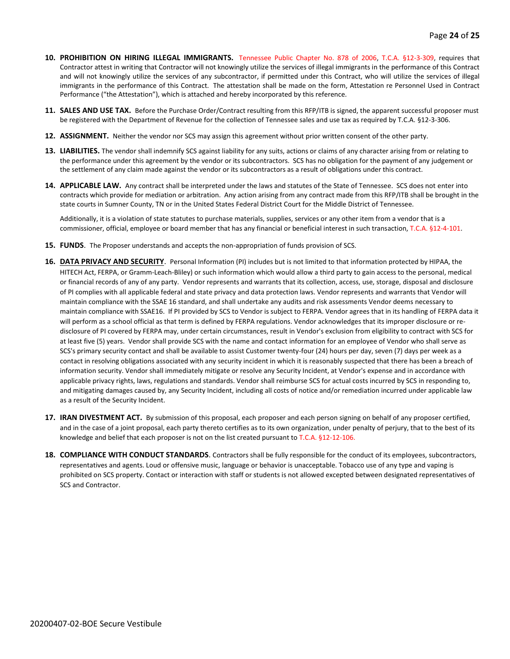- **10. PROHIBITION ON HIRING ILLEGAL IMMIGRANTS.** Tennessee Public Chapter No. 878 of 2006, T.C.A. §12-3-309, requires that Contractor attest in writing that Contractor will not knowingly utilize the services of illegal immigrants in the performance of this Contract and will not knowingly utilize the services of any subcontractor, if permitted under this Contract, who will utilize the services of illegal immigrants in the performance of this Contract. The attestation shall be made on the form, Attestation re Personnel Used in Contract Performance ("the Attestation"), which is attached and hereby incorporated by this reference.
- **11. SALES AND USE TAX.** Before the Purchase Order/Contract resulting from this RFP/ITB is signed, the apparent successful proposer must be registered with the Department of Revenue for the collection of Tennessee sales and use tax as required by T.C.A. §12-3-306.
- **12. ASSIGNMENT.** Neither the vendor nor SCS may assign this agreement without prior written consent of the other party.
- **13. LIABILITIES.** The vendor shall indemnify SCS against liability for any suits, actions or claims of any character arising from or relating to the performance under this agreement by the vendor or its subcontractors. SCS has no obligation for the payment of any judgement or the settlement of any claim made against the vendor or its subcontractors as a result of obligations under this contract.
- **14. APPLICABLE LAW.** Any contract shall be interpreted under the laws and statutes of the State of Tennessee. SCS does not enter into contracts which provide for mediation or arbitration. Any action arising from any contract made from this RFP/ITB shall be brought in the state courts in Sumner County, TN or in the United States Federal District Court for the Middle District of Tennessee.

Additionally, it is a violation of state statutes to purchase materials, supplies, services or any other item from a vendor that is a commissioner, official, employee or board member that has any financial or beneficial interest in such transaction, T.C.A. §12-4-101.

- **15. FUNDS**. The Proposer understands and accepts the non-appropriation of funds provision of SCS.
- **16. DATA PRIVACY AND SECURITY**. Personal Information (PI) includes but is not limited to that information protected by HIPAA, the HITECH Act, FERPA, or Gramm-Leach-Bliley) or such information which would allow a third party to gain access to the personal, medical or financial records of any of any party. Vendor represents and warrants that its collection, access, use, storage, disposal and disclosure of PI complies with all applicable federal and state privacy and data protection laws. Vendor represents and warrants that Vendor will maintain compliance with the SSAE 16 standard, and shall undertake any audits and risk assessments Vendor deems necessary to maintain compliance with SSAE16. If PI provided by SCS to Vendor is subject to FERPA. Vendor agrees that in its handling of FERPA data it will perform as a school official as that term is defined by FERPA regulations. Vendor acknowledges that its improper disclosure or redisclosure of PI covered by FERPA may, under certain circumstances, result in Vendor's exclusion from eligibility to contract with SCS for at least five (5) years. Vendor shall provide SCS with the name and contact information for an employee of Vendor who shall serve as SCS's primary security contact and shall be available to assist Customer twenty-four (24) hours per day, seven (7) days per week as a contact in resolving obligations associated with any security incident in which it is reasonably suspected that there has been a breach of information security. Vendor shall immediately mitigate or resolve any Security Incident, at Vendor's expense and in accordance with applicable privacy rights, laws, regulations and standards. Vendor shall reimburse SCS for actual costs incurred by SCS in responding to, and mitigating damages caused by, any Security Incident, including all costs of notice and/or remediation incurred under applicable law as a result of the Security Incident.
- **17. IRAN DIVESTMENT ACT.** By submission of this proposal, each proposer and each person signing on behalf of any proposer certified, and in the case of a joint proposal, each party thereto certifies as to its own organization, under penalty of perjury, that to the best of its knowledge and belief that each proposer is not on the list created pursuant to T.C.A. §12-12-106.
- **18. COMPLIANCE WITH CONDUCT STANDARDS**. Contractors shall be fully responsible for the conduct of its employees, subcontractors, representatives and agents. Loud or offensive music, language or behavior is unacceptable. Tobacco use of any type and vaping is prohibited on SCS property. Contact or interaction with staff or students is not allowed excepted between designated representatives of SCS and Contractor.